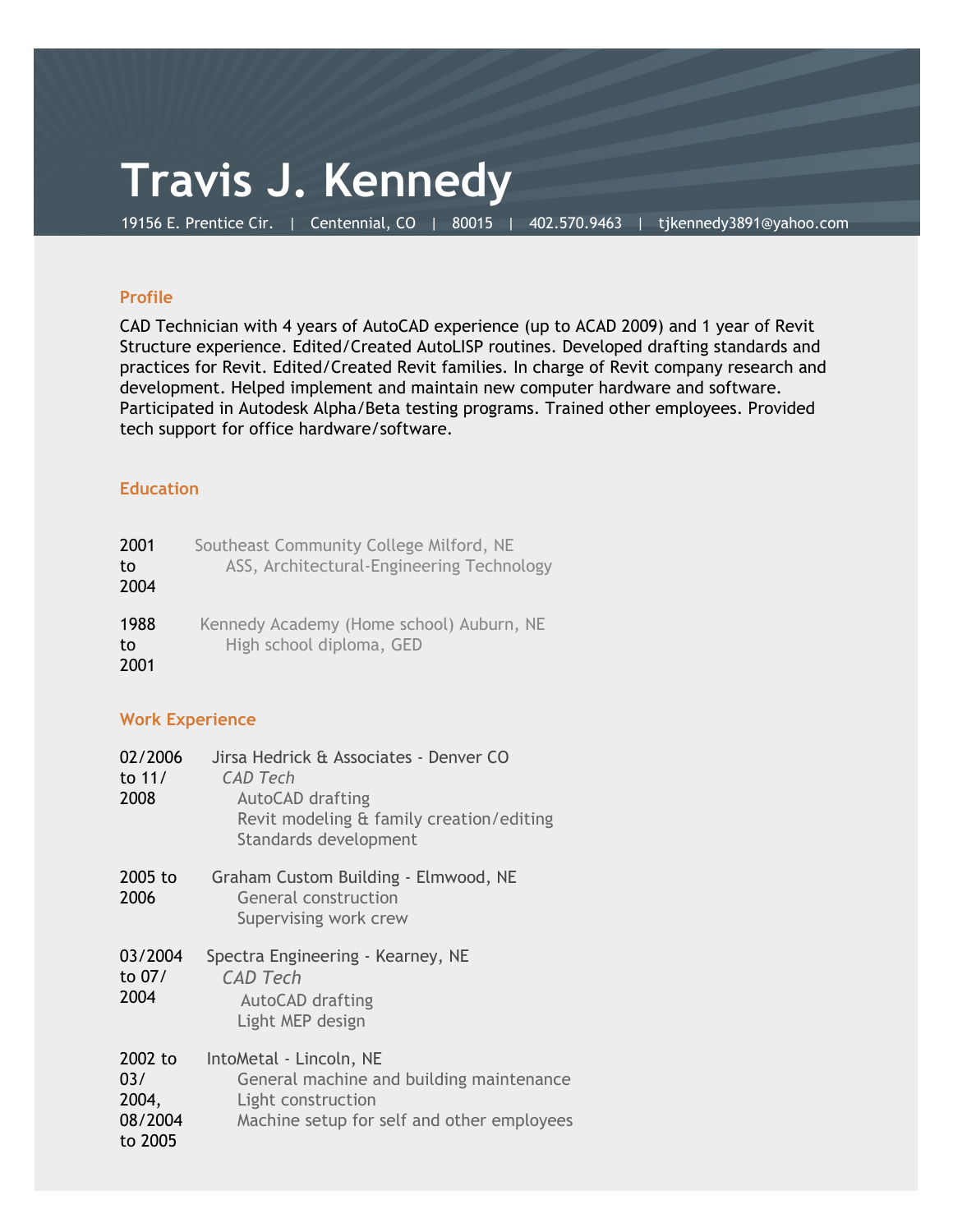## **Travis J. Kennedy**

19156 E. Prentice Cir. | Centennial, CO | 80015 | 402.570.9463 | tjkennedy3891@yahoo.com

#### **Profile**

CAD Technician with 4 years of AutoCAD experience (up to ACAD 2009) and 1 year of Revit Structure experience. Edited/Created AutoLISP routines. Developed drafting standards and practices for Revit. Edited/Created Revit families. In charge of Revit company research and development. Helped implement and maintain new computer hardware and software. Participated in Autodesk Alpha/Beta testing programs. Trained other employees. Provided tech support for office hardware/software.

### **Education**

| 2001<br>to<br>2004 | Southeast Community College Milford, NE<br>ASS, Architectural-Engineering Technology |
|--------------------|--------------------------------------------------------------------------------------|
| 1988<br>to<br>2001 | Kennedy Academy (Home school) Auburn, NE<br>High school diploma, GED                 |

### **Work Experience**

| 02/2006<br>to 11/<br>2008                     | Jirsa Hedrick & Associates - Denver CO<br>CAD Tech<br>AutoCAD drafting<br>Revit modeling & family creation/editing<br>Standards development |
|-----------------------------------------------|---------------------------------------------------------------------------------------------------------------------------------------------|
| 2005 to<br>2006                               | Graham Custom Building - Elmwood, NE<br>General construction<br>Supervising work crew                                                       |
| 03/2004<br>to 07/<br>2004                     | Spectra Engineering - Kearney, NE<br><b>CAD Tech</b><br>AutoCAD drafting<br>Light MEP design                                                |
| 2002 to<br>03/<br>2004,<br>08/2004<br>to 2005 | IntoMetal - Lincoln, NE<br>General machine and building maintenance<br>Light construction<br>Machine setup for self and other employees     |